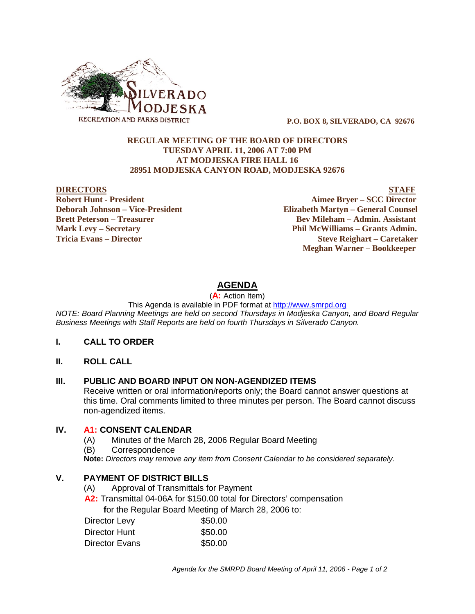

 **P.O. BOX 8, SILVERADO, CA 92676**

#### **REGULAR MEETING OF THE BOARD OF DIRECTORS TUESDAY APRIL 11, 2006 AT 7:00 PM AT MODJESKA FIRE HALL 16 28951 MODJESKA CANYON ROAD, MODJESKA 92676**

**DIRECTORS STAFF Robert Hunt - President Aimee Bryer – SCC Director Deborah Johnson – Vice-President Elizabeth Martyn – General Counsel Brett Peterson – Treasurer Serverson – Bev Mileham – Admin. Assistant Mark Levy – Secretary Phil McWilliams – Grants Admin. Tricia Evans – Director Steve Reighart – Caretaker Meghan Warner – Bookkeeper**

# **AGENDA**

(**A:** Action Item)

This Agenda is available in PDF format at http://www.smrpd.org

*NOTE: Board Planning Meetings are held on second Thursdays in Modjeska Canyon, and Board Regular Business Meetings with Staff Reports are held on fourth Thursdays in Silverado Canyon.*

#### **I. CALL TO ORDER**

**II. ROLL CALL**

#### **III. PUBLIC AND BOARD INPUT ON NON-AGENDIZED ITEMS**

Receive written or oral information/reports only; the Board cannot answer questions at this time. Oral comments limited to three minutes per person. The Board cannot discuss non-agendized items.

#### **IV. A1: CONSENT CALENDAR**

- (A) Minutes of the March 28, 2006 Regular Board Meeting
- (B) Correspondence

**Note:** *Directors may remove any item from Consent Calendar to be considered separately.*

## **V. PAYMENT OF DISTRICT BILLS**

- (A) Approval of Transmittals for Payment
- **A2:** Transmittal 04-06A for \$150.00 total for Directors' compensation

 **f**or the Regular Board Meeting of March 28, 2006 to:

| Director Levy  | \$50.00 |
|----------------|---------|
| Director Hunt  | \$50.00 |
| Director Evans | \$50.00 |